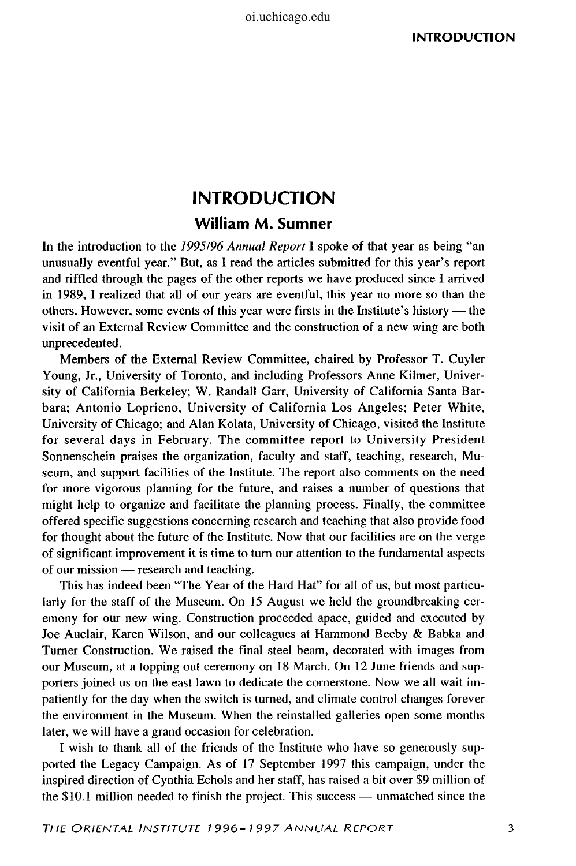## **INTRODUCTION William M. Sumner**

In the introduction to the *1995/96 Annual Report* I spoke of that year as being "an unusually eventful year." But, as I read the articles submitted for this year's report and riffled through the pages of the other reports we have produced since I arrived in 1989, I realized that all of our years are eventful, this year no more so than the others. However, some events of this year were firsts in the Institute's history — the visit of an External Review Committee and the construction of a new wing are both unprecedented.

Members of the External Review Committee, chaired by Professor T. Cuyler Young, Jr., University of Toronto, and including Professors Anne Kilmer, University of California Berkeley; W. Randall Garr, University of California Santa Barbara; Antonio Loprieno, University of California Los Angeles; Peter White, University of Chicago; and Alan Kolata, University of Chicago, visited the Institute for several days in February. The committee report to University President Sonnenschein praises the organization, faculty and staff, teaching, research, Museum, and support facilities of the Institute. The report also comments on the need for more vigorous planning for the future, and raises a number of questions that might help to organize and facilitate the planning process. Finally, the committee offered specific suggestions concerning research and teaching that also provide food for thought about the future of the Institute. Now that our facilities are on the verge of significant improvement it is time to turn our attention to the fundamental aspects of our mission — research and teaching.

This has indeed been "The Year of the Hard Hat" for all of us, but most particularly for the staff of the Museum. On 15 August we held the groundbreaking ceremony for our new wing. Construction proceeded apace, guided and executed by Joe Auclair, Karen Wilson, and our colleagues at Hammond Beeby & Babka and Turner Construction. We raised the final steel beam, decorated with images from our Museum, at a topping out ceremony on 18 March. On 12 June friends and supporters joined us on the east lawn to dedicate the cornerstone. Now we all wait impatiently for the day when the switch is turned, and climate control changes forever the environment in the Museum. When the reinstalled galleries open some months later, we will have a grand occasion for celebration.

I wish to thank all of the friends of the Institute who have so generously supported the Legacy Campaign. As of 17 September 1997 this campaign, under the inspired direction of Cynthia Echols and her staff, has raised a bit over \$9 million of the \$10.1 million needed to finish the project. This success — unmatched since the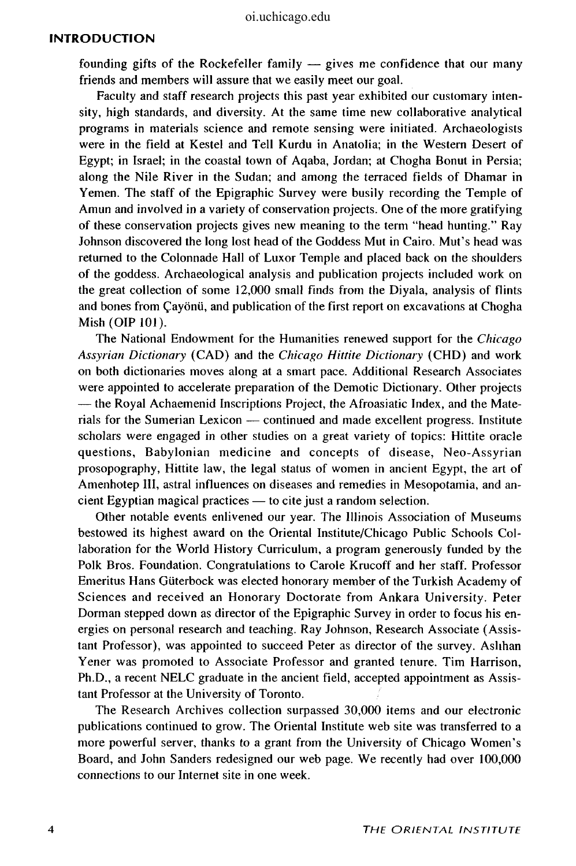## **INTRODUCTION**

founding gifts of the Rockefeller family — gives me confidence that our many friends and members will assure that we easily meet our goal.

Faculty and staff research projects this past year exhibited our customary intensity, high standards, and diversity. At the same time new collaborative analytical programs in materials science and remote sensing were initiated. Archaeologists were in the field at Kestel and Tell Kurdu in Anatolia; in the Western Desert of Egypt; in Israel; in the coastal town of Aqaba, Jordan; at Chogha Bonut in Persia; along the Nile River in the Sudan; and among the terraced fields of Dhamar in Yemen. The staff of the Epigraphic Survey were busily recording the Temple of Amun and involved in a variety of conservation projects. One of the more gratifying of these conservation projects gives new meaning to the term "head hunting." Ray Johnson discovered the long lost head of the Goddess Mut in Cairo. Mut's head was returned to the Colonnade Hall of Luxor Temple and placed back on the shoulders of the goddess. Archaeological analysis and publication projects included work on the great collection of some 12,000 small finds from the Diyala, analysis of flints and bones from Çayönü, and publication of the first report on excavations at Chogha Mish (OIP 101).

The National Endowment for the Humanities renewed support for the *Chicago Assyrian Dictionary* (CAD) and the *Chicago Hittite Dictionary* (CHD) and work on both dictionaries moves along at a smart pace. Additional Research Associates were appointed to accelerate preparation of the Demotic Dictionary. Other projects — the Royal Achaemenid Inscriptions Project, the Afroasiatic Index, and the Materials for the Sumerian Lexicon — continued and made excellent progress. Institute scholars were engaged in other studies on a great variety of topics: Hittite oracle questions, Babylonian medicine and concepts of disease, Neo-Assyrian prosopography, Hittite law, the legal status of women in ancient Egypt, the art of Amenhotep III, astral influences on diseases and remedies in Mesopotamia, and ancient Egyptian magical practices — to cite just a random selection.

Other notable events enlivened our year. The Illinois Association of Museums bestowed its highest award on the Oriental Institute/Chicago Public Schools Collaboration for the World History Curriculum, a program generously funded by the Polk Bros. Foundation. Congratulations to Carole Krucoff and her staff. Professor Emeritus Hans Giiterbock was elected honorary member of the Turkish Academy of Sciences and received an Honorary Doctorate from Ankara University. Peter Dorman stepped down as director of the Epigraphic Survey in order to focus his energies on personal research and teaching. Ray Johnson, Research Associate (Assistant Professor), was appointed to succeed Peter as director of the survey. Ashhan Yener was promoted to Associate Professor and granted tenure. Tim Harrison, Ph.D., a recent NELC graduate in the ancient field, accepted appointment as Assistant Professor at the University of Toronto.

The Research Archives collection surpassed 30,000 items and our electronic publications continued to grow. The Oriental Institute web site was transferred to a more powerful server, thanks to a grant from the University of Chicago Women's Board, and John Sanders redesigned our web page. We recently had over 100,000 connections to our Internet site in one week.